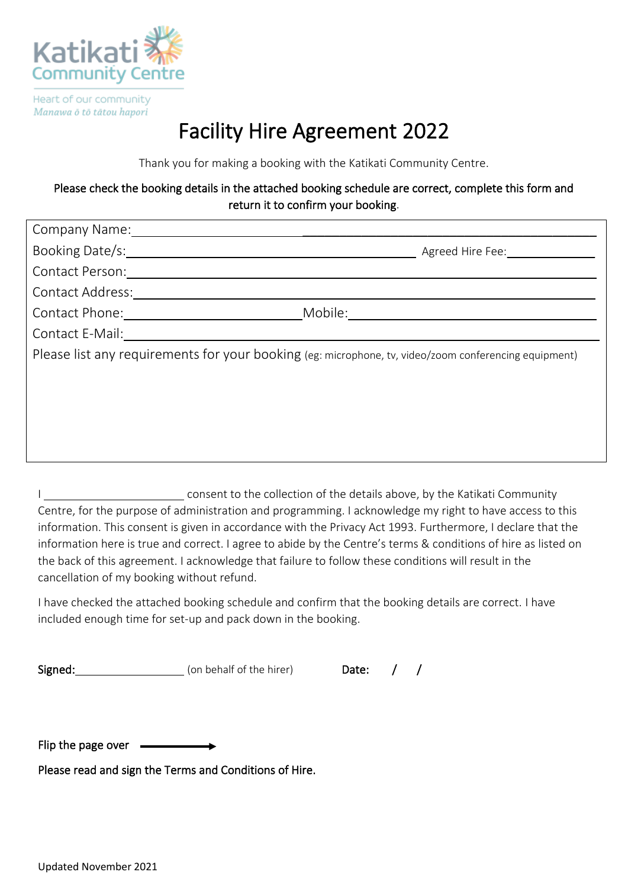

Heart of our community Manawa ō tō tātou hapori

# Facility Hire Agreement 2022

Thank you for making a booking with the Katikati Community Centre.

### Please check the booking details in the attached booking schedule are correct, complete this form and return it to confirm your booking.

| Company Name:                                                                                         |                  |
|-------------------------------------------------------------------------------------------------------|------------------|
| Booking Date/s:                                                                                       | Agreed Hire Fee: |
| Contact Person:                                                                                       |                  |
| Contact Address:                                                                                      |                  |
| Contact Phone:                                                                                        | Mobile:          |
| Contact E-Mail:                                                                                       |                  |
| Please list any requirements for your booking (eg: microphone, tv, video/zoom conferencing equipment) |                  |
|                                                                                                       |                  |
|                                                                                                       |                  |
|                                                                                                       |                  |
|                                                                                                       |                  |
|                                                                                                       |                  |

I consent to the collection of the details above, by the Katikati Community Centre, for the purpose of administration and programming. I acknowledge my right to have access to this information. This consent is given in accordance with the Privacy Act 1993. Furthermore, I declare that the information here is true and correct. I agree to abide by the Centre's terms & conditions of hire as listed on the back of this agreement. I acknowledge that failure to follow these conditions will result in the cancellation of my booking without refund.

I have checked the attached booking schedule and confirm that the booking details are correct. I have included enough time for set-up and pack down in the booking.

Signed: (on behalf of the hirer) Date: / /

Flip the page over  $\longrightarrow$ 

Please read and sign the Terms and Conditions of Hire.